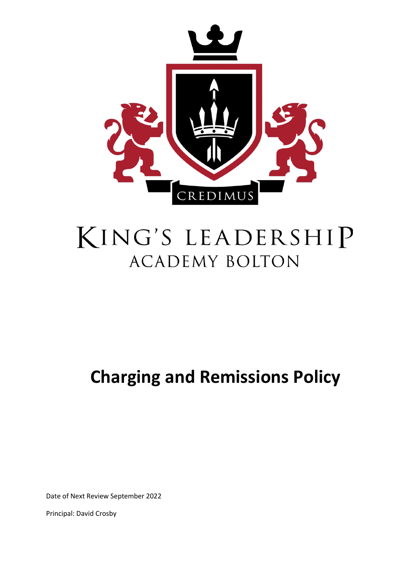

# KING'S LEADERSHIP **ACADEMY BOLTON**

## **Charging and Remissions Policy**

Date of Next Review September 2022

Principal: David Crosby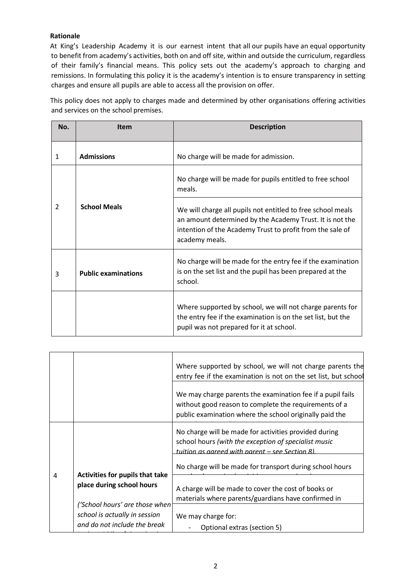#### **Rationale**

At King's Leadership Academy it is our earnest intent that all our pupils have an equal opportunity to benefit from academy's activities, both on and off site, within and outside the curriculum, regardless of their family's financial means. This policy sets out the academy's approach to charging and remissions. In formulating this policy it is the academy's intention is to ensure transparency in setting charges and ensure all pupils are able to access all the provision on offer.

This policy does not apply to charges made and determined by other organisations offering activities and services on the school premises.

| No.            | <b>Item</b>                | <b>Description</b>                                                                                                                                                                                     |
|----------------|----------------------------|--------------------------------------------------------------------------------------------------------------------------------------------------------------------------------------------------------|
|                |                            |                                                                                                                                                                                                        |
| 1              | <b>Admissions</b>          | No charge will be made for admission.                                                                                                                                                                  |
| $\overline{2}$ | <b>School Meals</b>        | No charge will be made for pupils entitled to free school<br>meals.                                                                                                                                    |
|                |                            | We will charge all pupils not entitled to free school meals<br>an amount determined by the Academy Trust. It is not the<br>intention of the Academy Trust to profit from the sale of<br>academy meals. |
| 3              | <b>Public examinations</b> | No charge will be made for the entry fee if the examination<br>is on the set list and the pupil has been prepared at the<br>school.                                                                    |
|                |                            | Where supported by school, we will not charge parents for<br>the entry fee if the examination is on the set list, but the<br>pupil was not prepared for it at school.                                  |

|   |                                                               | Where supported by school, we will not charge parents the<br>entry fee if the examination is not on the set list, but school                                                   |
|---|---------------------------------------------------------------|--------------------------------------------------------------------------------------------------------------------------------------------------------------------------------|
|   |                                                               | We may charge parents the examination fee if a pupil fails<br>without good reason to complete the requirements of a<br>public examination where the school originally paid the |
|   |                                                               | No charge will be made for activities provided during<br>school hours (with the exception of specialist music<br>tuition as agreed with parent – see Section 8).               |
| 4 | Activities for pupils that take<br>place during school hours  | No charge will be made for transport during school hours                                                                                                                       |
|   | ('School hours' are those when                                | A charge will be made to cover the cost of books or<br>materials where parents/guardians have confirmed in                                                                     |
|   | school is actually in session<br>and do not include the break | We may charge for:<br>Optional extras (section 5)                                                                                                                              |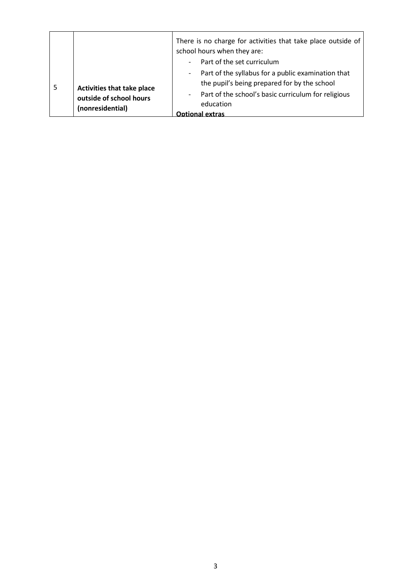|   |                                                                                  | There is no charge for activities that take place outside of<br>school hours when they are:                  |
|---|----------------------------------------------------------------------------------|--------------------------------------------------------------------------------------------------------------|
|   |                                                                                  | Part of the set curriculum<br>$\overline{\phantom{a}}$                                                       |
| 5 | <b>Activities that take place</b><br>outside of school hours<br>(nonresidential) | Part of the syllabus for a public examination that<br>$\sim$<br>the pupil's being prepared for by the school |
|   |                                                                                  | Part of the school's basic curriculum for religious<br>$\blacksquare$<br>education<br>Ontional extras        |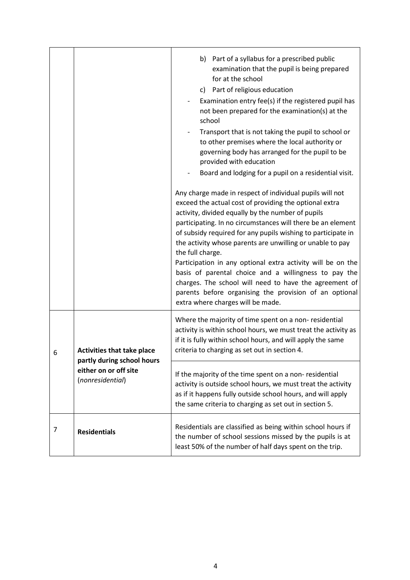|   |                                                                                                              | b) Part of a syllabus for a prescribed public<br>examination that the pupil is being prepared<br>for at the school<br>c) Part of religious education<br>Examination entry fee(s) if the registered pupil has<br>not been prepared for the examination(s) at the<br>school<br>Transport that is not taking the pupil to school or<br>to other premises where the local authority or<br>governing body has arranged for the pupil to be<br>provided with education<br>Board and lodging for a pupil on a residential visit.<br>Any charge made in respect of individual pupils will not<br>exceed the actual cost of providing the optional extra<br>activity, divided equally by the number of pupils<br>participating. In no circumstances will there be an element<br>of subsidy required for any pupils wishing to participate in<br>the activity whose parents are unwilling or unable to pay<br>the full charge.<br>Participation in any optional extra activity will be on the<br>basis of parental choice and a willingness to pay the<br>charges. The school will need to have the agreement of<br>parents before organising the provision of an optional<br>extra where charges will be made. |
|---|--------------------------------------------------------------------------------------------------------------|-------------------------------------------------------------------------------------------------------------------------------------------------------------------------------------------------------------------------------------------------------------------------------------------------------------------------------------------------------------------------------------------------------------------------------------------------------------------------------------------------------------------------------------------------------------------------------------------------------------------------------------------------------------------------------------------------------------------------------------------------------------------------------------------------------------------------------------------------------------------------------------------------------------------------------------------------------------------------------------------------------------------------------------------------------------------------------------------------------------------------------------------------------------------------------------------------------|
| 6 | <b>Activities that take place</b><br>partly during school hours<br>either on or off site<br>(nonresidential) | Where the majority of time spent on a non-residential<br>activity is within school hours, we must treat the activity as<br>if it is fully within school hours, and will apply the same<br>criteria to charging as set out in section 4.                                                                                                                                                                                                                                                                                                                                                                                                                                                                                                                                                                                                                                                                                                                                                                                                                                                                                                                                                               |
|   |                                                                                                              | If the majority of the time spent on a non-residential<br>activity is outside school hours, we must treat the activity<br>as if it happens fully outside school hours, and will apply<br>the same criteria to charging as set out in section 5.                                                                                                                                                                                                                                                                                                                                                                                                                                                                                                                                                                                                                                                                                                                                                                                                                                                                                                                                                       |
| 7 | <b>Residentials</b>                                                                                          | Residentials are classified as being within school hours if<br>the number of school sessions missed by the pupils is at<br>least 50% of the number of half days spent on the trip.                                                                                                                                                                                                                                                                                                                                                                                                                                                                                                                                                                                                                                                                                                                                                                                                                                                                                                                                                                                                                    |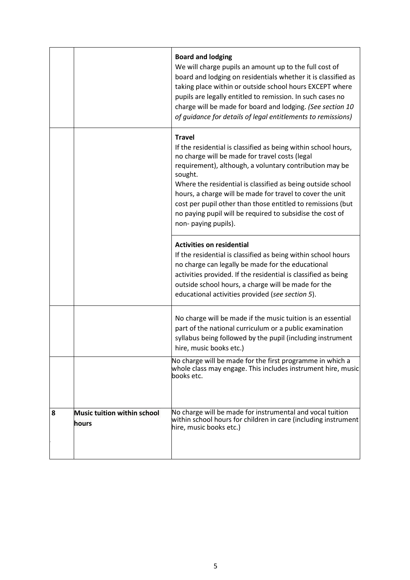|   |                                      | <b>Board and lodging</b><br>We will charge pupils an amount up to the full cost of<br>board and lodging on residentials whether it is classified as<br>taking place within or outside school hours EXCEPT where<br>pupils are legally entitled to remission. In such cases no<br>charge will be made for board and lodging. (See section 10<br>of quidance for details of legal entitlements to remissions)                                                                            |
|---|--------------------------------------|----------------------------------------------------------------------------------------------------------------------------------------------------------------------------------------------------------------------------------------------------------------------------------------------------------------------------------------------------------------------------------------------------------------------------------------------------------------------------------------|
|   |                                      | <b>Travel</b><br>If the residential is classified as being within school hours,<br>no charge will be made for travel costs (legal<br>requirement), although, a voluntary contribution may be<br>sought.<br>Where the residential is classified as being outside school<br>hours, a charge will be made for travel to cover the unit<br>cost per pupil other than those entitled to remissions (but<br>no paying pupil will be required to subsidise the cost of<br>non-paying pupils). |
|   |                                      | <b>Activities on residential</b><br>If the residential is classified as being within school hours<br>no charge can legally be made for the educational<br>activities provided. If the residential is classified as being<br>outside school hours, a charge will be made for the<br>educational activities provided (see section 5).                                                                                                                                                    |
|   |                                      | No charge will be made if the music tuition is an essential<br>part of the national curriculum or a public examination<br>syllabus being followed by the pupil (including instrument<br>hire, music books etc.)                                                                                                                                                                                                                                                                        |
|   |                                      | No charge will be made for the first programme in which a<br>whole class may engage. This includes instrument hire, music<br>books etc.                                                                                                                                                                                                                                                                                                                                                |
| 8 | Music tuition within school<br>hours | No charge will be made for instrumental and vocal tuition<br>within school hours for children in care (including instrument<br>hire, music books etc.)                                                                                                                                                                                                                                                                                                                                 |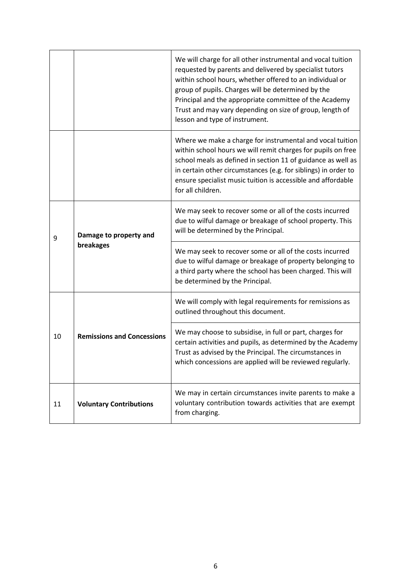|    |                                     | We will charge for all other instrumental and vocal tuition<br>requested by parents and delivered by specialist tutors<br>within school hours, whether offered to an individual or<br>group of pupils. Charges will be determined by the<br>Principal and the appropriate committee of the Academy<br>Trust and may vary depending on size of group, length of<br>lesson and type of instrument. |
|----|-------------------------------------|--------------------------------------------------------------------------------------------------------------------------------------------------------------------------------------------------------------------------------------------------------------------------------------------------------------------------------------------------------------------------------------------------|
|    |                                     | Where we make a charge for instrumental and vocal tuition<br>within school hours we will remit charges for pupils on free<br>school meals as defined in section 11 of guidance as well as<br>in certain other circumstances (e.g. for siblings) in order to<br>ensure specialist music tuition is accessible and affordable<br>for all children.                                                 |
| 9  | Damage to property and<br>breakages | We may seek to recover some or all of the costs incurred<br>due to wilful damage or breakage of school property. This<br>will be determined by the Principal.                                                                                                                                                                                                                                    |
|    |                                     | We may seek to recover some or all of the costs incurred<br>due to wilful damage or breakage of property belonging to<br>a third party where the school has been charged. This will<br>be determined by the Principal.                                                                                                                                                                           |
| 10 | <b>Remissions and Concessions</b>   | We will comply with legal requirements for remissions as<br>outlined throughout this document.                                                                                                                                                                                                                                                                                                   |
|    |                                     | We may choose to subsidise, in full or part, charges for<br>certain activities and pupils, as determined by the Academy<br>Trust as advised by the Principal. The circumstances in<br>which concessions are applied will be reviewed regularly.                                                                                                                                                  |
| 11 | <b>Voluntary Contributions</b>      | We may in certain circumstances invite parents to make a<br>voluntary contribution towards activities that are exempt<br>from charging.                                                                                                                                                                                                                                                          |